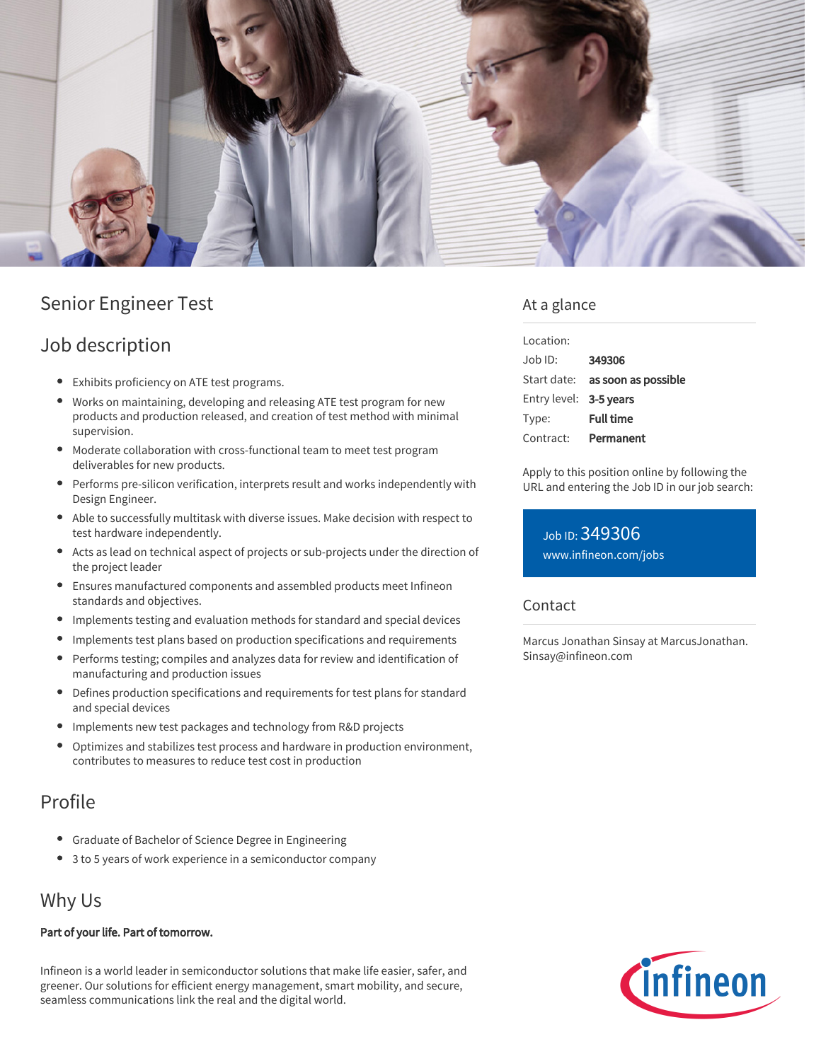

# Senior Engineer Test

### Job description

- Exhibits proficiency on ATE test programs.
- Works on maintaining, developing and releasing ATE test program for new products and production released, and creation of test method with minimal supervision.
- Moderate collaboration with cross-functional team to meet test program deliverables for new products.
- Performs pre-silicon verification, interprets result and works independently with Design Engineer.
- Able to successfully multitask with diverse issues. Make decision with respect to test hardware independently.
- Acts as lead on technical aspect of projects or sub-projects under the direction of the project leader
- Ensures manufactured components and assembled products meet Infineon standards and objectives.
- Implements testing and evaluation methods for standard and special devices
- $\bullet$ Implements test plans based on production specifications and requirements
- Performs testing; compiles and analyzes data for review and identification of manufacturing and production issues
- $\bullet$ Defines production specifications and requirements for test plans for standard and special devices
- Implements new test packages and technology from R&D projects
- $\bullet$ Optimizes and stabilizes test process and hardware in production environment, contributes to measures to reduce test cost in production

### Profile

- Graduate of Bachelor of Science Degree in Engineering
- 3 to 5 years of work experience in a semiconductor company

## Why Us

#### Part of your life. Part of tomorrow.

Infineon is a world leader in semiconductor solutions that make life easier, safer, and greener. Our solutions for efficient energy management, smart mobility, and secure, seamless communications link the real and the digital world.

### At a glance

| Location:              |                                 |
|------------------------|---------------------------------|
| $Job$ ID:              | 349306                          |
|                        | Start date: as soon as possible |
| Entry level: 3-5 years |                                 |
| Type:                  | <b>Full time</b>                |
| Contract:              | Permanent                       |

Apply to this position online by following the URL and entering the Job ID in our job search:

Job ID: 349306 [www.infineon.com/jobs](https://www.infineon.com/jobs)

#### Contact

Marcus Jonathan Sinsay at MarcusJonathan. Sinsay@infineon.com